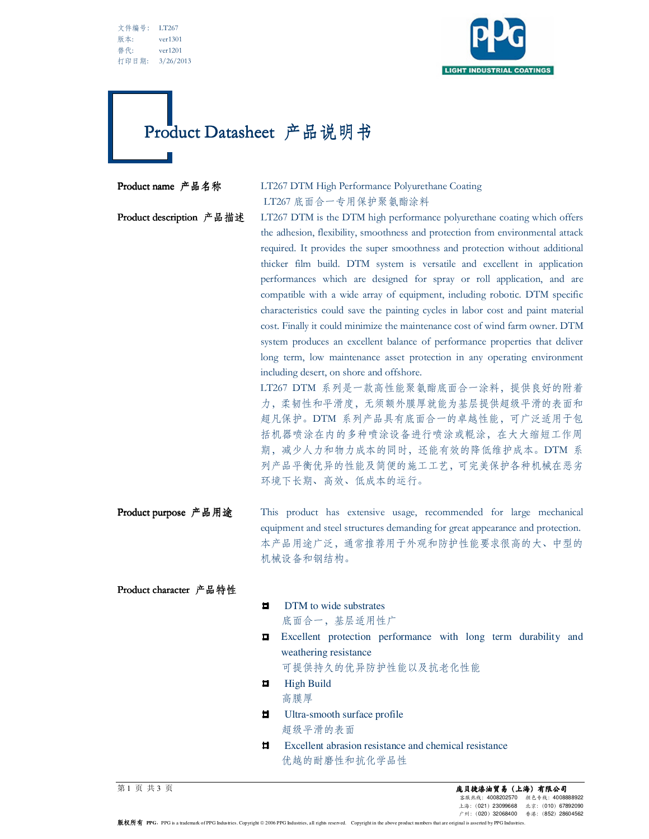文件编号: LT267 版本: ver1301 替代: ver1201 打印日期: 3/26/2013



# Product Datasheet 产品说明书

## Product name 产品名称 LT267 DTM High Performance Polyurethane Coating LT267 底面合一专用保护聚氨酯涂料

Product description 产品描述 LT267 DTM is the DTM high performance polyurethane coating which offers the adhesion, flexibility, smoothness and protection from environmental attack required. It provides the super smoothness and protection without additional thicker film build. DTM system is versatile and excellent in application performances which are designed for spray or roll application, and are compatible with a wide array of equipment, including robotic. DTM specific characteristics could save the painting cycles in labor cost and paint material cost. Finally it could minimize the maintenance cost of wind farm owner. DTM system produces an excellent balance of performance properties that deliver long term, low maintenance asset protection in any operating environment including desert, on shore and offshore.

> LT267 DTM 系列是一款高性能聚氨酯底面合一涂料,提供良好的附着 力,柔韧性和平滑度,无须额外膜厚就能为基层提供超级平滑的表面和 超凡保护。DTM 系列产品具有底面合一的卓越性能,可广泛适用于包 括机器喷涂在内的多种喷涂设备进行喷涂或輥涂,在大大缩短工作周 期,减少人力和物力成本的同时,还能有效的降低维护成本。DTM 系 列产品平衡优异的性能及简便的施工工艺,可完美保护各种机械在恶劣 环境下长期、高效、低成本的运行。

Product purpose 产品用途 This product has extensive usage, recommended for large mechanical equipment and steel structures demanding for great appearance and protection. 本产品用途广泛,通常推荐用于外观和防护性能要求很高的大、中型的 机械设备和钢结构。

Product character 产品特性

DTM to wide substrates  $\blacksquare$ 

底面合一,基层适用性广

**Excellent** protection performance with long term durability and weathering resistance

可提供持久的优异防护性能以及抗老化性能

- $\blacksquare$ High Build 高膜厚
- $\blacksquare$ Ultra-smooth surface profile 超级平滑的表面
- $\blacksquare$ Excellent abrasion resistance and chemical resistance 优越的耐磨性和抗化学品性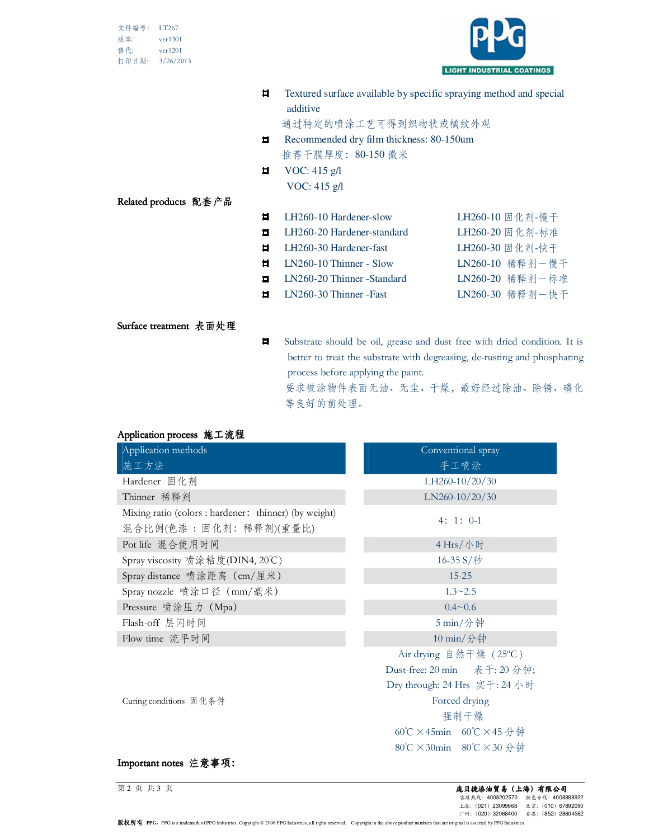| 文件编号: | LT267     |
|-------|-----------|
| 版本:   | ver1301   |
| 替代:   | ver1201   |
| 打印日期: | 3/26/2013 |



 $\blacksquare$ Textured surface available by specific spraying method and special additive

通过特定的喷涂工艺可得到织物状或橘纹外观

- $\blacksquare$ Recommended dry film thickness: 80-150um 推荐干膜厚度:80-150 微米
- VOC: 415 g/l  $\blacksquare$ VOC: 415 g/l

### Related products 配套产品

- $\blacksquare$ LH260-10 Hardener-slow LH260-10 固化剂-慢干  $\blacksquare$ LH260-20 Hardener-standard LH260-20 固化剂-标准  $\blacksquare$ LH260-30 Hardener-fast LH260-30 固化剂-快干  $\blacksquare$ LN260-10 Thinner - Slow LN260-10 稀释剂一慢干
- $\blacksquare$ LN260-20 Thinner -Standard LN260-20 稀释剂一标准
- $\blacksquare$ LN260-30 Thinner -Fast LN260-30 稀释剂一快干

### Surface treatment 表面处理

 $\blacksquare$ Substrate should be oil, grease and dust free with dried condition. It is better to treat the substrate with degreasing, de-rusting and phosphating process before applying the paint.

要求被涂物件表面无油、无尘、干燥,最好经过除油、除锈、磷化 等良好的前处理。

| Application process 施工流程 |  |
|--------------------------|--|
|--------------------------|--|

| $P = 1$<br>Application methods                                                    | Conventional spray            |  |
|-----------------------------------------------------------------------------------|-------------------------------|--|
| 施工方法                                                                              | 手工喷涂                          |  |
| Hardener 固化剂                                                                      | LH260-10/20/30                |  |
| Thinner 稀释剂                                                                       | $LN260-10/20/30$              |  |
| Mixing ratio (colors : hardener: thinner) (by weight)<br>混合比例(色漆 : 固化剂: 稀释剂)(重量比) | $4:1:0-1$                     |  |
| Pot life 混合使用时间                                                                   | 4 Hrs/小时                      |  |
| Spray viscosity 喷涂粘度(DIN4, 20℃)                                                   | 16-35 S/秒                     |  |
| Spray distance 喷涂距离 (cm/厘米)                                                       | $15 - 25$                     |  |
| Spray nozzle 喷涂口径 (mm/毫米)                                                         | $1.3 - 2.5$                   |  |
| Pressure 喷涂压力 (Mpa)                                                               | $0.4 - 0.6$                   |  |
| Flash-off 层闪时间                                                                    | $5 \min/\hat{}$ 钟             |  |
| Flow time 流平时间                                                                    | 10 min/分钟                     |  |
|                                                                                   | Air drying 自然干燥 (25°C)        |  |
|                                                                                   | Dust-free: 20 min 表干: 20 分钟;  |  |
|                                                                                   | Dry through: 24 Hrs 实干: 24 小时 |  |
| Curing conditions 固化条件                                                            | Forced drying                 |  |
|                                                                                   | 强制干燥                          |  |
|                                                                                   | 60℃×45min 60℃×45分钟            |  |
|                                                                                   | 80℃×30min 80℃×30分钟            |  |
| <b>12 2 3 4 7 3</b>                                                               |                               |  |

#### Important notes 汪 惠 <sup>事</sup> 坝:

|  | 第2页共3页 |  |
|--|--------|--|
|  |        |  |

版权所有 PPG, PPG is a trademark of PPG Industries. Copyright © 2006 PPG Industries, all rights reserved. Copyright in the above product numbers that are original is asserted by PPG Industries